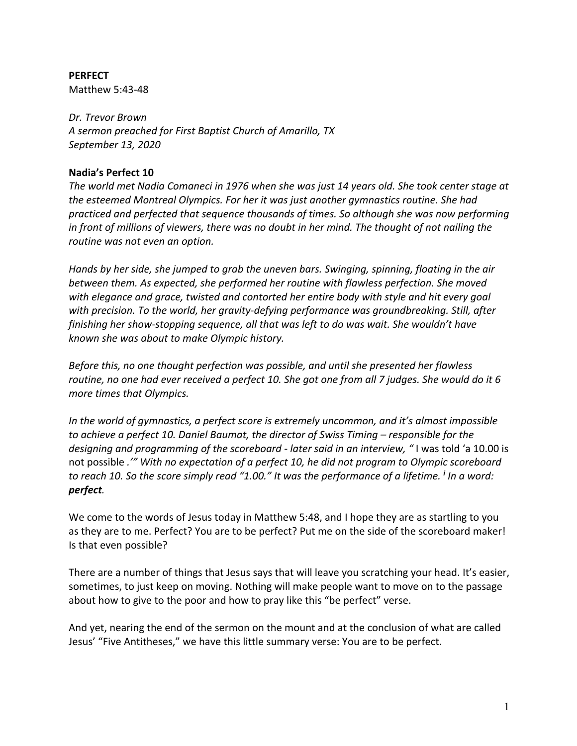# **PERFECT**

Matthew 5:43-48

#### *Dr. Trevor Brown*

*A sermon preached for First Baptist Church of Amarillo, TX September 13, 2020*

#### **Nadia's Perfect 10**

*The world met Nadia Comaneci in 1976 when she was just 14 years old. She took center stage at the esteemed Montreal Olympics. For her it was just another gymnastics routine. She had practiced and perfected that sequence thousands of times. So although she was now performing in front of millions of viewers, there was no doubt in her mind. The thought of not nailing the routine was not even an option.*

*Hands by her side, she jumped to grab the uneven bars. Swinging, spinning, floating in the air between them. As expected, she performed her routine with flawless perfection. She moved with elegance and grace, twisted and contorted her entire body with style and hit every goal with precision. To the world, her gravity-defying performance was groundbreaking. Still, after finishing her show-stopping sequence, all that was left to do was wait. She wouldn't have known she was about to make Olympic history.*

*Before this, no one thought perfection was possible, and until she presented her flawless routine, no one had ever received a perfect 10. She got one from all 7 judges. She would do it 6 more times that Olympics.*

*In the world of gymnastics, a perfect score is extremely uncommon, and it's almost impossible to achieve a perfect 10. Daniel Baumat, the director of Swiss Timing – responsible for the designing and programming of the scoreboard - later said in an interview, "* I was told 'a 10.00 is not possible *.'" With no expectation of a perfect 10, he did not program to Olympic scoreboard to reach 10. So the score simply read "1.00." It was the performance of a lifetime. <sup>i</sup> In a word: perfect.*

We come to the words of Jesus today in Matthew 5:48, and I hope they are as startling to you as they are to me. Perfect? You are to be perfect? Put me on the side of the scoreboard maker! Is that even possible?

There are a number of things that Jesus says that will leave you scratching your head. It's easier, sometimes, to just keep on moving. Nothing will make people want to move on to the passage about how to give to the poor and how to pray like this "be perfect" verse.

And yet, nearing the end of the sermon on the mount and at the conclusion of what are called Jesus' "Five Antitheses," we have this little summary verse: You are to be perfect.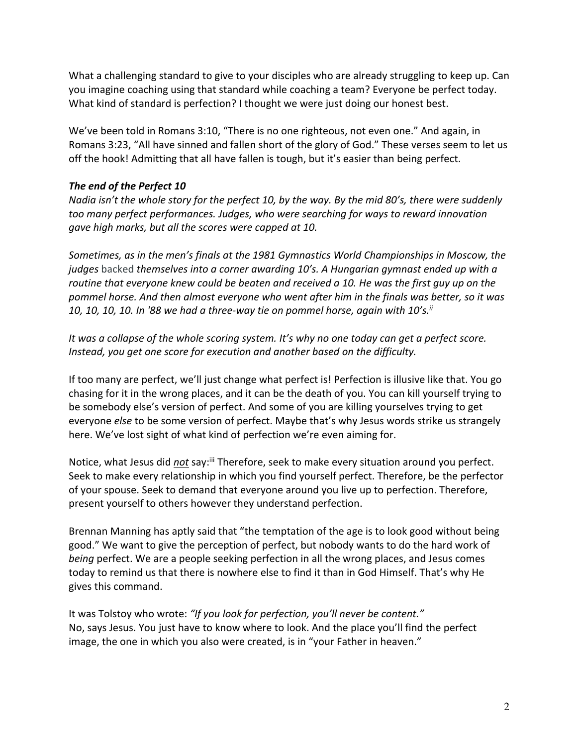What a challenging standard to give to your disciples who are already struggling to keep up. Can you imagine coaching using that standard while coaching a team? Everyone be perfect today. What kind of standard is perfection? I thought we were just doing our honest best.

We've been told in Romans 3:10, "There is no one righteous, not even one." And again, in Romans 3:23, "All have sinned and fallen short of the glory of God." These verses seem to let us off the hook! Admitting that all have fallen is tough, but it's easier than being perfect.

# *The end of the Perfect 10*

*Nadia isn't the whole story for the perfect 10, by the way. By the mid 80's, there were suddenly too many perfect performances. Judges, who were searching for ways to reward innovation gave high marks, but all the scores were capped at 10.*

*Sometimes, as in the men's finals at the 1981 Gymnastics World Championships in Moscow, the judges* backed *themselves into a corner awarding 10's. A Hungarian gymnast ended up with a routine that everyone knew could be beaten and received a 10. He was the first guy up on the pommel horse. And then almost everyone who went after him in the finals was better, so it was 10, 10, 10, 10. In '88 we had a three-way tie on pommel horse, again with 10's.ii*

*It was a collapse of the whole scoring system. It's why no one today can get a perfect score. Instead, you get one score for execution and another based on the difficulty.* 

If too many are perfect, we'll just change what perfect is! Perfection is illusive like that. You go chasing for it in the wrong places, and it can be the death of you. You can kill yourself trying to be somebody else's version of perfect. And some of you are killing yourselves trying to get everyone *else* to be some version of perfect. Maybe that's why Jesus words strike us strangely here. We've lost sight of what kind of perfection we're even aiming for.

Notice, what Jesus did *not* say:<sup>iii</sup> Therefore, seek to make every situation around you perfect. Seek to make every relationship in which you find yourself perfect. Therefore, be the perfector of your spouse. Seek to demand that everyone around you live up to perfection. Therefore, present yourself to others however they understand perfection.

Brennan Manning has aptly said that "the temptation of the age is to look good without being good." We want to give the perception of perfect, but nobody wants to do the hard work of *being* perfect. We are a people seeking perfection in all the wrong places, and Jesus comes today to remind us that there is nowhere else to find it than in God Himself. That's why He gives this command.

It was Tolstoy who wrote: *"If you look for perfection, you'll never be content."*  No, says Jesus. You just have to know where to look. And the place you'll find the perfect image, the one in which you also were created, is in "your Father in heaven."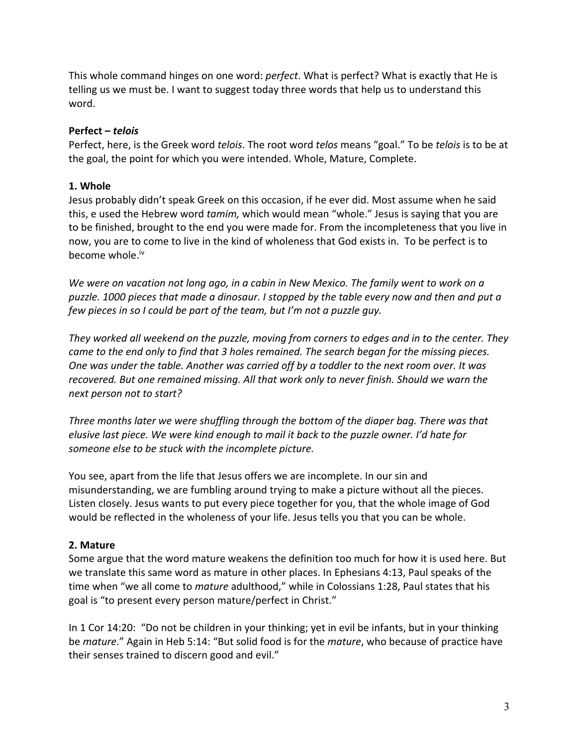This whole command hinges on one word: *perfect*. What is perfect? What is exactly that He is telling us we must be. I want to suggest today three words that help us to understand this word.

#### **Perfect –** *telois*

Perfect, here, is the Greek word *telois*. The root word *telos* means "goal." To be *telois* is to be at the goal, the point for which you were intended. Whole, Mature, Complete.

## **1. Whole**

Jesus probably didn't speak Greek on this occasion, if he ever did. Most assume when he said this, e used the Hebrew word *tamim,* which would mean "whole." Jesus is saying that you are to be finished, brought to the end you were made for. From the incompleteness that you live in now, you are to come to live in the kind of wholeness that God exists in. To be perfect is to become whole.<sup>iv</sup>

*We were on vacation not long ago, in a cabin in New Mexico. The family went to work on a puzzle. 1000 pieces that made a dinosaur. I stopped by the table every now and then and put a few pieces in so I could be part of the team, but I'm not a puzzle guy.* 

*They worked all weekend on the puzzle, moving from corners to edges and in to the center. They came to the end only to find that 3 holes remained. The search began for the missing pieces. One was under the table. Another was carried off by a toddler to the next room over. It was recovered. But one remained missing. All that work only to never finish. Should we warn the next person not to start?*

*Three months later we were shuffling through the bottom of the diaper bag. There was that elusive last piece. We were kind enough to mail it back to the puzzle owner. I'd hate for someone else to be stuck with the incomplete picture.*

You see, apart from the life that Jesus offers we are incomplete. In our sin and misunderstanding, we are fumbling around trying to make a picture without all the pieces. Listen closely. Jesus wants to put every piece together for you, that the whole image of God would be reflected in the wholeness of your life. Jesus tells you that you can be whole.

## **2. Mature**

Some argue that the word mature weakens the definition too much for how it is used here. But we translate this same word as mature in other places. In Ephesians 4:13, Paul speaks of the time when "we all come to *mature* adulthood," while in Colossians 1:28, Paul states that his goal is "to present every person mature/perfect in Christ."

In 1 Cor 14:20: "Do not be children in your thinking; yet in evil be infants, but in your thinking be *mature*." Again in Heb 5:14: "But solid food is for the *mature*, who because of practice have their senses trained to discern good and evil."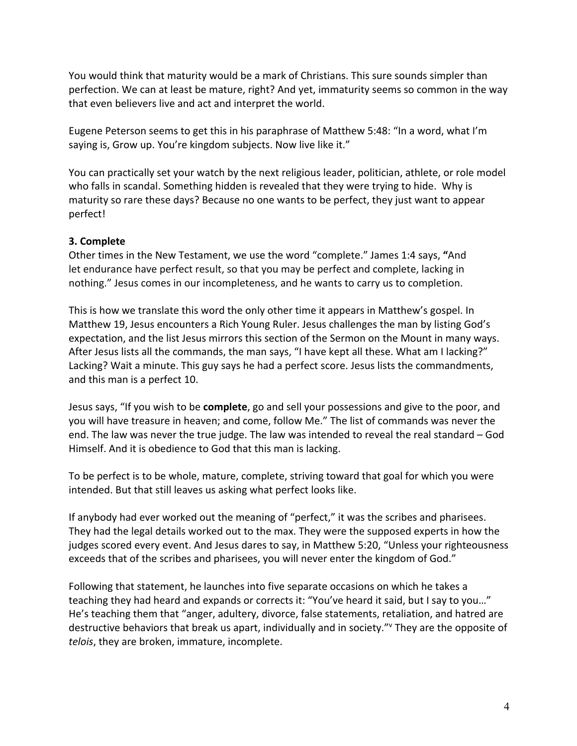You would think that maturity would be a mark of Christians. This sure sounds simpler than perfection. We can at least be mature, right? And yet, immaturity seems so common in the way that even believers live and act and interpret the world.

Eugene Peterson seems to get this in his paraphrase of Matthew 5:48: "In a word, what I'm saying is, Grow up. You're kingdom subjects. Now live like it."

You can practically set your watch by the next religious leader, politician, athlete, or role model who falls in scandal. Something hidden is revealed that they were trying to hide. Why is maturity so rare these days? Because no one wants to be perfect, they just want to appear perfect!

## **3. Complete**

Other times in the New Testament, we use the word "complete." James 1:4 says, **"**And let endurance have perfect result, so that you may be perfect and complete, lacking in nothing." Jesus comes in our incompleteness, and he wants to carry us to completion.

This is how we translate this word the only other time it appears in Matthew's gospel. In Matthew 19, Jesus encounters a Rich Young Ruler. Jesus challenges the man by listing God's expectation, and the list Jesus mirrors this section of the Sermon on the Mount in many ways. After Jesus lists all the commands, the man says, "I have kept all these. What am I lacking?" Lacking? Wait a minute. This guy says he had a perfect score. Jesus lists the commandments, and this man is a perfect 10.

Jesus says, "If you wish to be **complete**, go and sell your possessions and give to the poor, and you will have treasure in heaven; and come, follow Me." The list of commands was never the end. The law was never the true judge. The law was intended to reveal the real standard – God Himself. And it is obedience to God that this man is lacking.

To be perfect is to be whole, mature, complete, striving toward that goal for which you were intended. But that still leaves us asking what perfect looks like.

If anybody had ever worked out the meaning of "perfect," it was the scribes and pharisees. They had the legal details worked out to the max. They were the supposed experts in how the judges scored every event. And Jesus dares to say, in Matthew 5:20, "Unless your righteousness exceeds that of the scribes and pharisees, you will never enter the kingdom of God."

Following that statement, he launches into five separate occasions on which he takes a teaching they had heard and expands or corrects it: "You've heard it said, but I say to you…" He's teaching them that "anger, adultery, divorce, false statements, retaliation, and hatred are destructive behaviors that break us apart, individually and in society."v They are the opposite of *telois*, they are broken, immature, incomplete.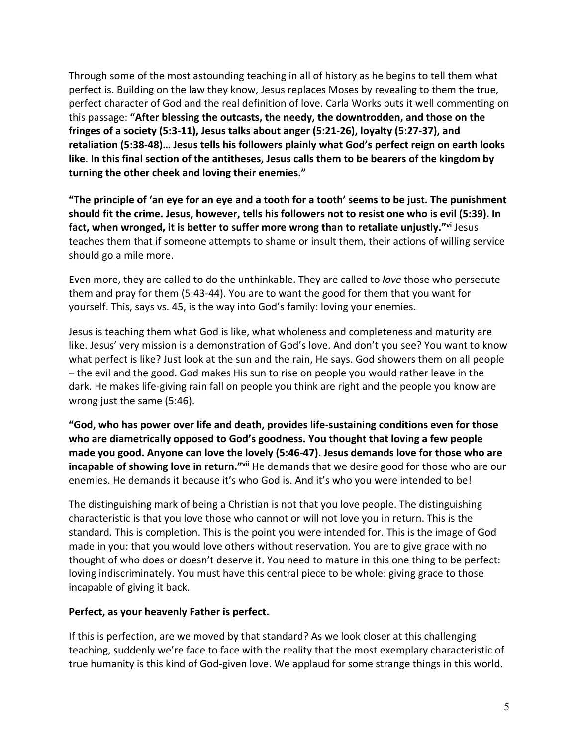Through some of the most astounding teaching in all of history as he begins to tell them what perfect is. Building on the law they know, Jesus replaces Moses by revealing to them the true, perfect character of God and the real definition of love. Carla Works puts it well commenting on this passage: **"After blessing the outcasts, the needy, the downtrodden, and those on the fringes of a society (5:3-11), Jesus talks about anger (5:21-26), loyalty (5:27-37), and retaliation (5:38-48)… Jesus tells his followers plainly what God's perfect reign on earth looks like**. I**n this final section of the antitheses, Jesus calls them to be bearers of the kingdom by turning the other cheek and loving their enemies."**

**"The principle of 'an eye for an eye and a tooth for a tooth' seems to be just. The punishment should fit the crime. Jesus, however, tells his followers not to resist one who is evil (5:39). In fact, when wronged, it is better to suffer more wrong than to retaliate unjustly."vi** Jesus teaches them that if someone attempts to shame or insult them, their actions of willing service should go a mile more.

Even more, they are called to do the unthinkable. They are called to *love* those who persecute them and pray for them (5:43-44). You are to want the good for them that you want for yourself. This, says vs. 45, is the way into God's family: loving your enemies.

Jesus is teaching them what God is like, what wholeness and completeness and maturity are like. Jesus' very mission is a demonstration of God's love. And don't you see? You want to know what perfect is like? Just look at the sun and the rain, He says. God showers them on all people – the evil and the good. God makes His sun to rise on people you would rather leave in the dark. He makes life-giving rain fall on people you think are right and the people you know are wrong just the same (5:46).

**"God, who has power over life and death, provides life-sustaining conditions even for those who are diametrically opposed to God's goodness. You thought that loving a few people made you good. Anyone can love the lovely (5:46-47). Jesus demands love for those who are incapable of showing love in return."**<sup>vii</sup> He demands that we desire good for those who are our enemies. He demands it because it's who God is. And it's who you were intended to be!

The distinguishing mark of being a Christian is not that you love people. The distinguishing characteristic is that you love those who cannot or will not love you in return. This is the standard. This is completion. This is the point you were intended for. This is the image of God made in you: that you would love others without reservation. You are to give grace with no thought of who does or doesn't deserve it. You need to mature in this one thing to be perfect: loving indiscriminately. You must have this central piece to be whole: giving grace to those incapable of giving it back.

## **Perfect, as your heavenly Father is perfect.**

If this is perfection, are we moved by that standard? As we look closer at this challenging teaching, suddenly we're face to face with the reality that the most exemplary characteristic of true humanity is this kind of God-given love. We applaud for some strange things in this world.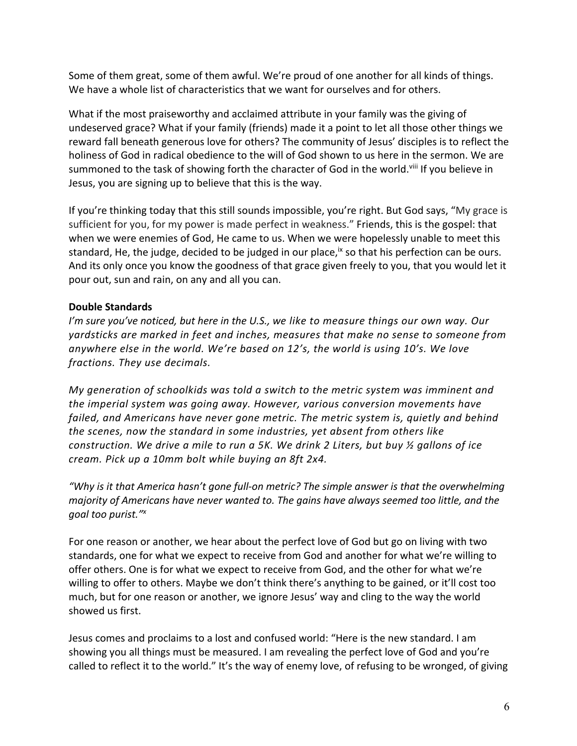Some of them great, some of them awful. We're proud of one another for all kinds of things. We have a whole list of characteristics that we want for ourselves and for others.

What if the most praiseworthy and acclaimed attribute in your family was the giving of undeserved grace? What if your family (friends) made it a point to let all those other things we reward fall beneath generous love for others? The community of Jesus' disciples is to reflect the holiness of God in radical obedience to the will of God shown to us here in the sermon. We are summoned to the task of showing forth the character of God in the world.<sup>viii</sup> If you believe in Jesus, you are signing up to believe that this is the way.

If you're thinking today that this still sounds impossible, you're right. But God says, "My grace is sufficient for you, for my power is made perfect in weakness." Friends, this is the gospel: that when we were enemies of God, He came to us. When we were hopelessly unable to meet this standard, He, the judge, decided to be judged in our place,<sup>ix</sup> so that his perfection can be ours. And its only once you know the goodness of that grace given freely to you, that you would let it pour out, sun and rain, on any and all you can.

## **Double Standards**

*I'm sure you've noticed, but here in the U.S., we like to measure things our own way. Our yardsticks are marked in feet and inches, measures that make no sense to someone from anywhere else in the world. We're based on 12's, the world is using 10's. We love fractions. They use decimals.*

*My generation of schoolkids was told a switch to the metric system was imminent and the imperial system was going away. However, various conversion movements have failed, and Americans have never gone metric. The metric system is, quietly and behind the scenes, now the standard in some industries, yet absent from others like construction. We drive a mile to run a 5K. We drink 2 Liters, but buy ½ gallons of ice cream. Pick up a 10mm bolt while buying an 8ft 2x4.*

*"Why is it that America hasn't gone full-on metric? The simple answer is that the overwhelming majority of Americans have never wanted to. The gains have always seemed too little, and the goal too purist."x*

For one reason or another, we hear about the perfect love of God but go on living with two standards, one for what we expect to receive from God and another for what we're willing to offer others. One is for what we expect to receive from God, and the other for what we're willing to offer to others. Maybe we don't think there's anything to be gained, or it'll cost too much, but for one reason or another, we ignore Jesus' way and cling to the way the world showed us first.

Jesus comes and proclaims to a lost and confused world: "Here is the new standard. I am showing you all things must be measured. I am revealing the perfect love of God and you're called to reflect it to the world." It's the way of enemy love, of refusing to be wronged, of giving